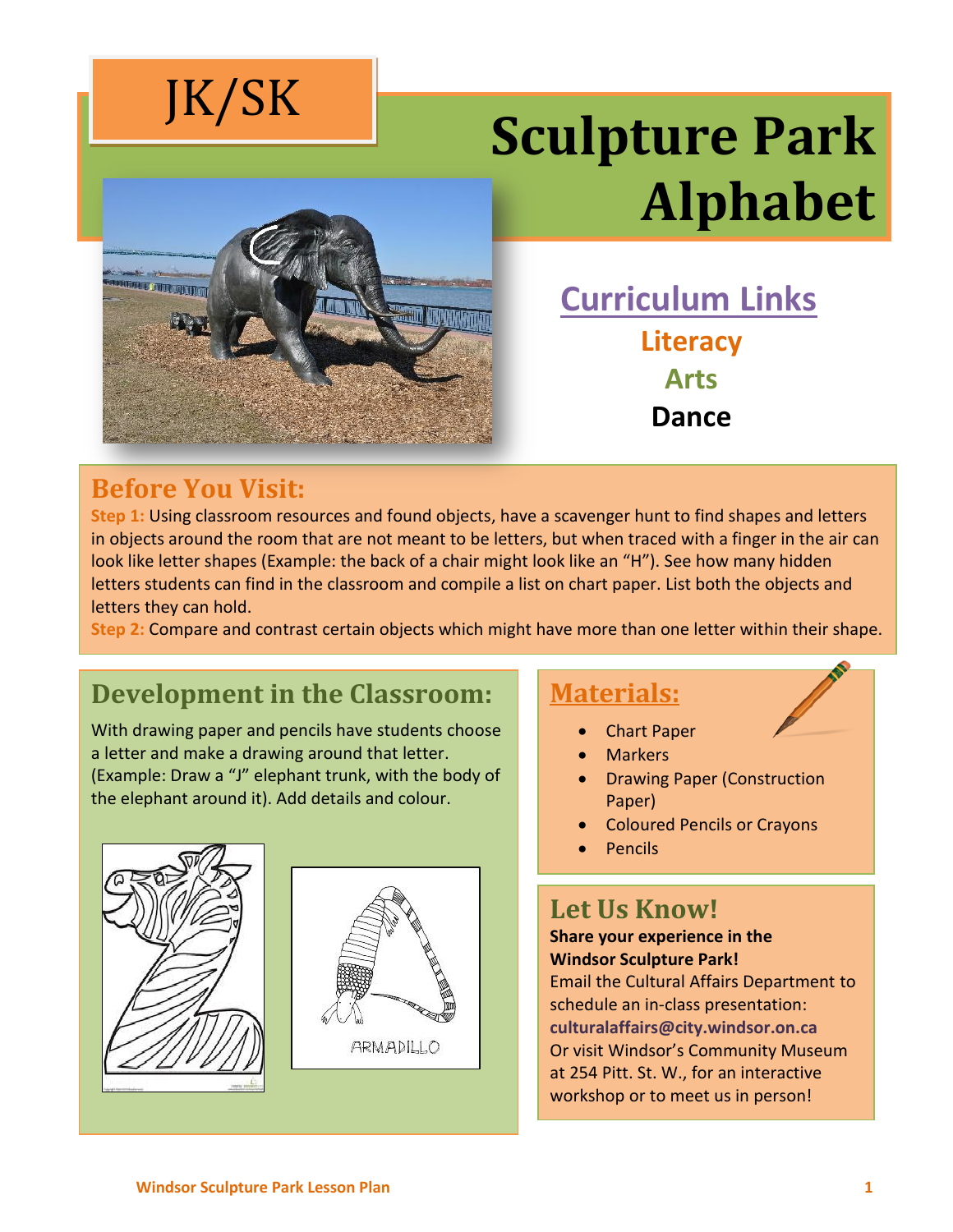

# **Sculpture Park Alphabet**



**Curriculum Links Literacy Arts Dance** 

#### **Before You Visit:**

**Step 1:** Using classroom resources and found objects, have a scavenger hunt to find shapes and letters in objects around the room that are not meant to be letters, but when traced with a finger in the air can look like letter shapes (Example: the back of a chair might look like an "H"). See how many hidden letters students can find in the classroom and compile a list on chart paper. List both the objects and letters they can hold.

**Step 2:** Compare and contrast certain objects which might have more than one letter within their shape.

### **Development in the Classroom:**

With drawing paper and pencils have students choose a letter and make a drawing around that letter. (Example: Draw a "J" elephant trunk, with the body of the elephant around it). Add details and colour.





#### **Materials:**

- Chart Paper
- **Markers**
- Drawing Paper (Construction Paper)
- Coloured Pencils or Crayons
- Pencils

#### **Let Us Know!**

#### **Share your experience in the Windsor Sculpture Park!**

Email the Cultural Affairs Department to schedule an in-class presentation: **culturalaffairs@city.windsor.on.ca** Or visit Windsor's Community Museum at 254 Pitt. St. W., for an interactive workshop or to meet us in person!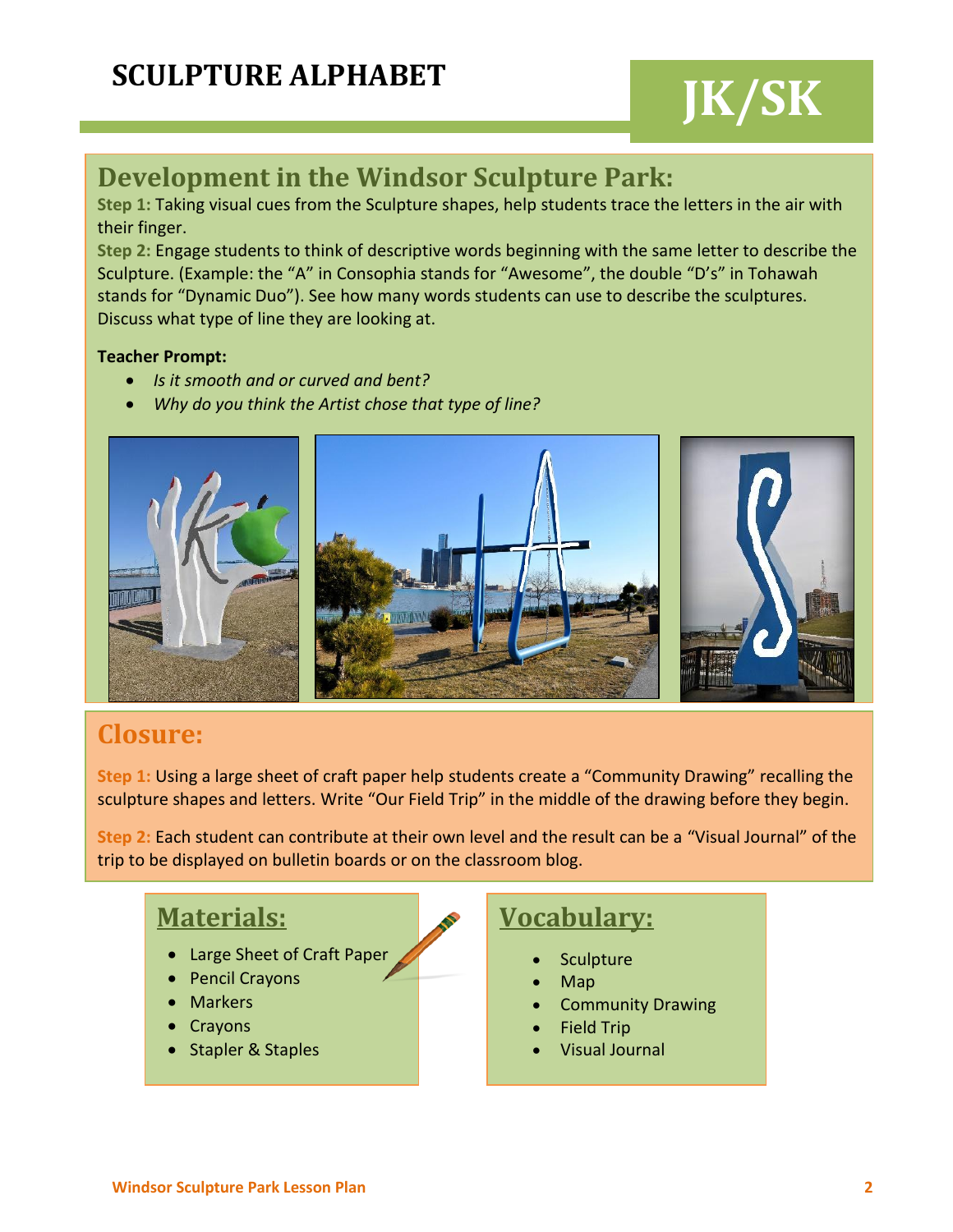## **JK/SK**

#### **Development in the Windsor Sculpture Park:**

**Step 1:** Taking visual cues from the Sculpture shapes, help students trace the letters in the air with their finger.

**Step 2:** Engage students to think of descriptive words beginning with the same letter to describe the Sculpture. (Example: the "A" in Consophia stands for "Awesome", the double "D's" in Tohawah stands for "Dynamic Duo"). See how many words students can use to describe the sculptures. Discuss what type of line they are looking at.

#### **Teacher Prompt:**

- *Is it smooth and or curved and bent?*
- *Why do you think the Artist chose that type of line?*



#### **Closure:**

**Step 1:** Using a large sheet of craft paper help students create a "Community Drawing" recalling the sculpture shapes and letters. Write "Our Field Trip" in the middle of the drawing before they begin.

**Step 2:** Each student can contribute at their own level and the result can be a "Visual Journal" of the trip to be displayed on bulletin boards or on the classroom blog.

#### **Materials:**

- Large Sheet of Craft Paper
- Pencil Crayons
- Markers
- Crayons
- Stapler & Staples

#### **Vocabulary:**

- **Sculpture**
- Map
- Community Drawing
- Field Trip
- Visual Journal